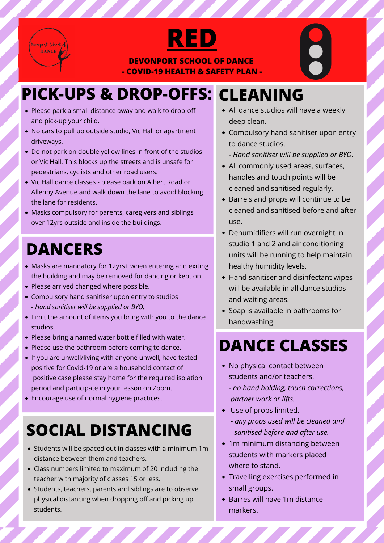



**DEVONPORT SCHOOL OF DANCE - COVID-19 HEALTH & SAFETY PLAN -**

- Please park a small distance away and walk to drop-off and pick-up your child.
- No cars to pull up outside studio, Vic Hall or apartment driveways.
- Do not park on double yellow lines in front of the studios or Vic Hall. This blocks up the streets and is unsafe for pedestrians, cyclists and other road users.
- Vic Hall dance classes please park on Albert Road or Allenby Avenue and walk down the lane to avoid blocking the lane for residents.
- Masks compulsory for parents, caregivers and siblings over 12yrs outside and inside the buildings.

- Masks are mandatory for 12yrs+ when entering and exiting the building and may be removed for dancing or kept on.
- Please arrived changed where possible.
- All dance studios will have a weekly deep clean.
- Compulsory hand sanitiser upon entry to dance studios.
	- *Hand sanitiser will be supplied or BYO.*
- All commonly used areas, surfaces, handles and touch points will be cleaned and sanitised regularly.
- Barre's and props will continue to be cleaned and sanitised before and after use.
- Dehumidifiers will run overnight in studio 1 and 2 and air conditioning units will be running to help maintain healthy humidity levels.
- Hand sanitiser and disinfectant wipes will be available in all dance studios and waiting areas.
- 
- Compulsory hand sanitiser upon entry to studios - *Hand sanitiser will be supplied or BYO.*
- Limit the amount of items you bring with you to the dance studios.
- Please bring a named water bottle filled with water.
- Please use the bathroom before coming to dance.
- If you are unwell/living with anyone unwell, have tested positive for Covid-19 or are a household contact of positive case please stay home for the required isolation period and participate in your lesson on Zoom.
- Encourage use of normal hygiene practices.

• Soap is available in bathrooms for handwashing.

- No physical contact between students and/or teachers.
	- *no hand holding, touch corrections, partner work or lifts.*
- Use of props limited.
	- *any props used will be cleaned and*
- 1m minimum distancing between students with markers placed where to stand.
- Travelling exercises performed in small groups.
- Barres will have 1m distance markers.

<u>TAN MANASHAN MANASHAN SAMASHAN SAMASHAN SAMASHAN SAMASHAN SAMASHAN SAMASHAN SAMASHAN SAMASHAN SAMASHAN SAMASHAN </u>

# **DANCERS**

## **DANCE CLASSES**

- Students will be spaced out in classes with a minimum 1m distance between them and teachers.
- Class numbers limited to maximum of 20 including the teacher with majority of classes 15 or less.
- Students, teachers, parents and siblings are to observe physical distancing when dropping off and picking up students.

# **PICK-UPS & DROP-OFFS: CLEANING**

# **SOCIAL DISTANCING** *sanitised before and after use.*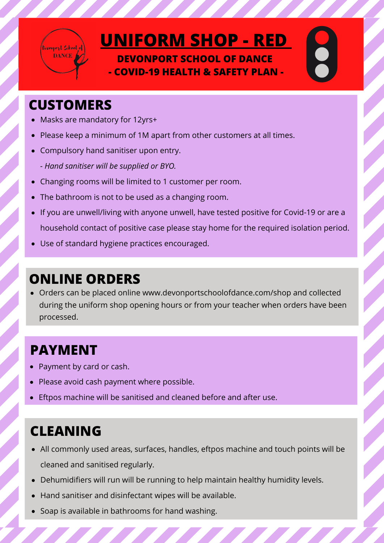

# **UNIFORM SHOP - RED**

**DEVONPORT SCHOOL OF DANCE - COVID-19 HEALTH & SAFETY PLAN -**

#### **CUSTOMERS**

- Masks are mandatory for 12yrs+
- Please keep a minimum of 1M apart from other customers at all times.
- Compulsory hand sanitiser upon entry.
	- *Hand sanitiser will be supplied or BYO.*
- Changing rooms will be limited to 1 customer per room.
- The bathroom is not to be used as a changing room.
- If you are unwell/living with anyone unwell, have tested positive for Covid-19 or are a household contact of positive case please stay home for the required isolation period.
- Use of standard hygiene practices encouraged.

Orders can be placed online www.devonportschoolofdance.com/shop and collected  $\bullet$ during the uniform shop opening hours or from your teacher when orders have been processed.

## **ONLINE ORDERS**

## **CLEANING**

#### **PAYMENT**

All commonly used areas, surfaces, handles, eftpos machine and touch points will be cleaned and sanitised regularly.

EL EL EL EL EL EL EL EL EL EL

- Dehumidifiers will run will be running to help maintain healthy humidity levels.  $\bullet$
- Hand sanitiser and disinfectant wipes will be available.  $\bullet$
- Soap is available in bathrooms for hand washing.
- Payment by card or cash.
- Please avoid cash payment where possible.
- Eftpos machine will be sanitised and cleaned before and after use.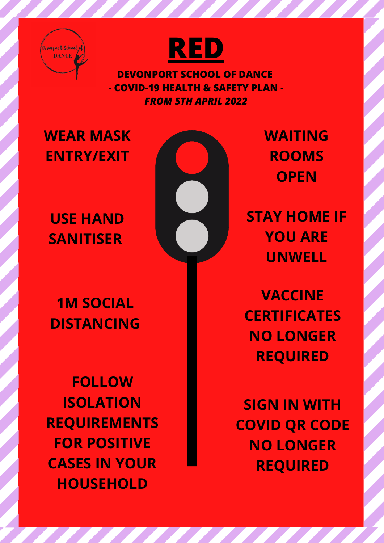



**DEVONPORT SCHOOL OF DANCE - COVID-19 HEALTH & SAFETY PLAN -** *FROM 5TH APRIL 2022*

## **WEAR MASK ENTRY/EXIT**

## **USE HAND SANITISER**



<u>The Communication of the Communication of the Communication of the Communication of the Communication of the Co</u>

**WAITING ROOMS OPEN**

**1M SOCIAL DISTANCING**

**VACCINE CERTIFICATES NO LONGER REQUIRED**

**SIGN IN WITH COVID QR CODE NO LONGER REQUIRED**

**STAY HOME IF YOU ARE UNWELL**

**FOLLOW ISOLATION REQUIREMENTS FOR POSITIVE CASES IN YOUR HOUSEHOLD**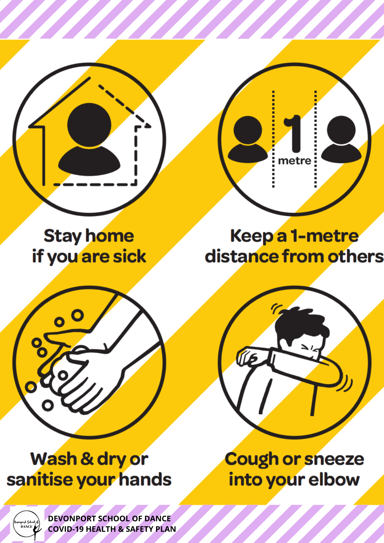**Stay home** if you are sick

# Keepa 1-metre distance from others

metre

Wash & dry or sanitise your hands

# **Cough or sneeze** into your elbow



DEVONPORT SCHOOL OF DANCE **COVID-19 HEALTH & SAFETY PLAN**